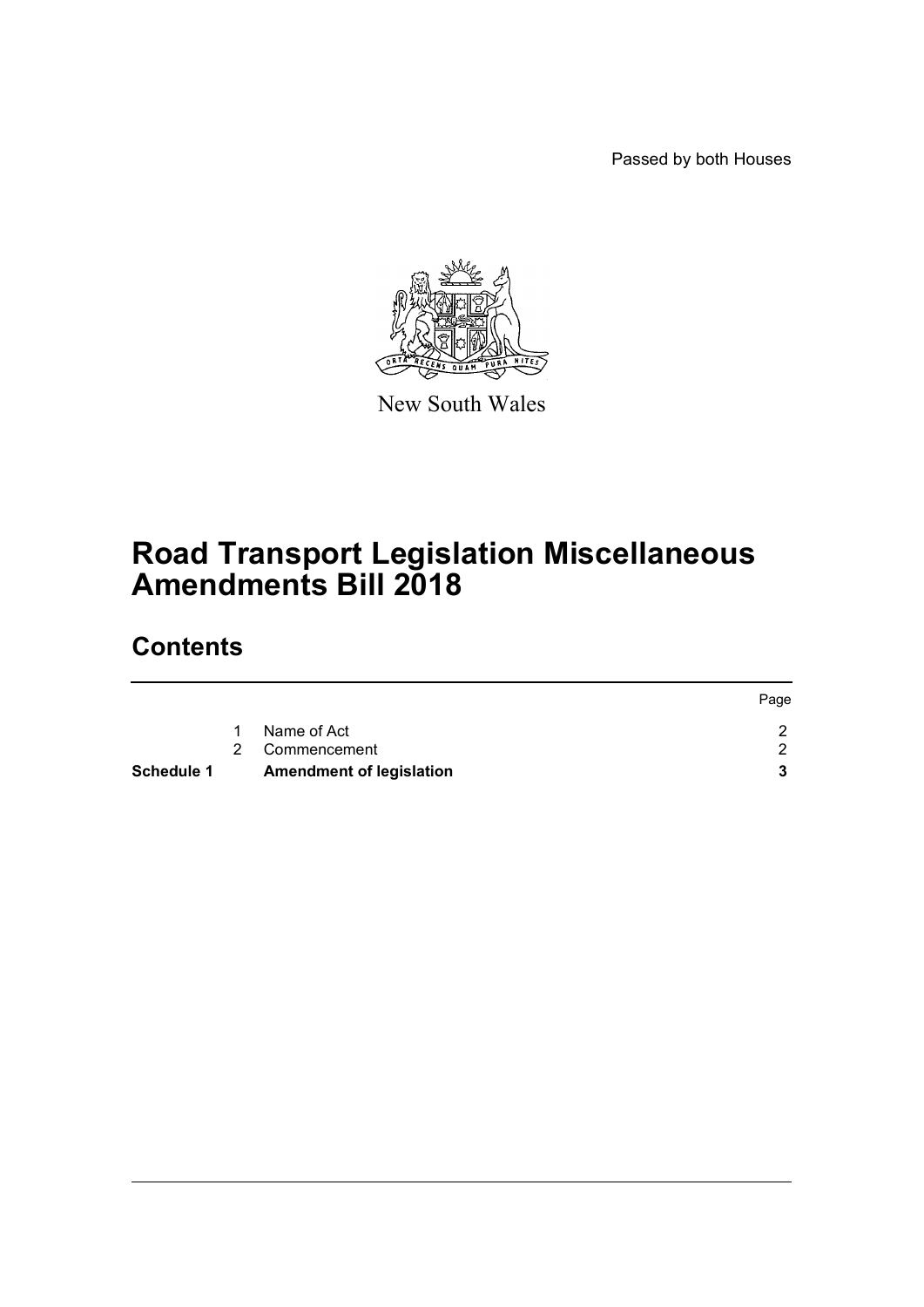Passed by both Houses



New South Wales

# **Road Transport Legislation Miscellaneous Amendments Bill 2018**

## **Contents**

| <b>Schedule 1</b> |              | <b>Amendment of legislation</b> |      |
|-------------------|--------------|---------------------------------|------|
|                   |              | 2 Commencement                  |      |
|                   | $\mathbf{1}$ | Name of Act                     |      |
|                   |              |                                 | Page |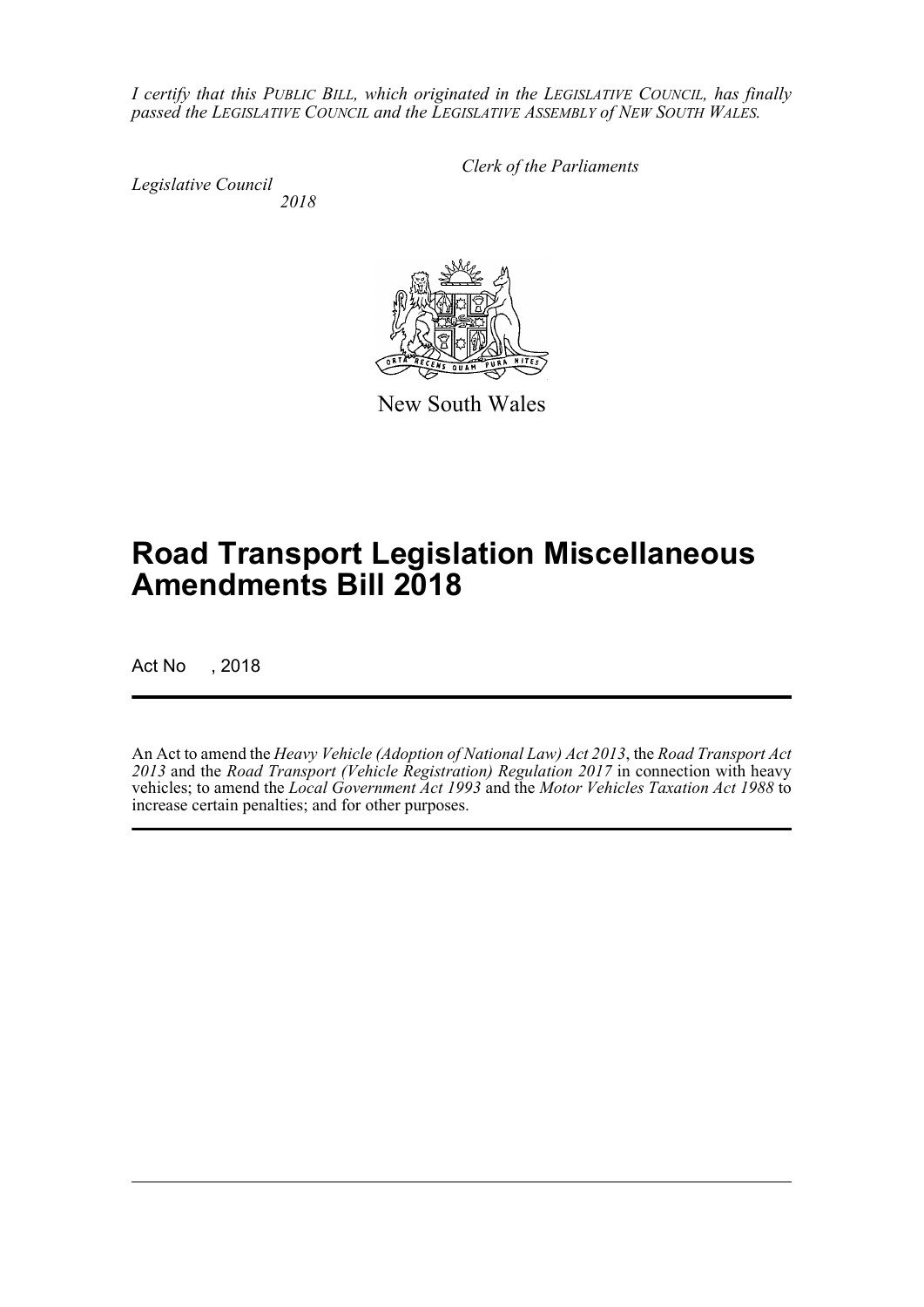*I certify that this PUBLIC BILL, which originated in the LEGISLATIVE COUNCIL, has finally passed the LEGISLATIVE COUNCIL and the LEGISLATIVE ASSEMBLY of NEW SOUTH WALES.*

*Legislative Council 2018* *Clerk of the Parliaments*

New South Wales

## **Road Transport Legislation Miscellaneous Amendments Bill 2018**

Act No , 2018

An Act to amend the *Heavy Vehicle (Adoption of National Law) Act 2013*, the *Road Transport Act 2013* and the *Road Transport (Vehicle Registration) Regulation 2017* in connection with heavy vehicles; to amend the *Local Government Act 1993* and the *Motor Vehicles Taxation Act 1988* to increase certain penalties; and for other purposes.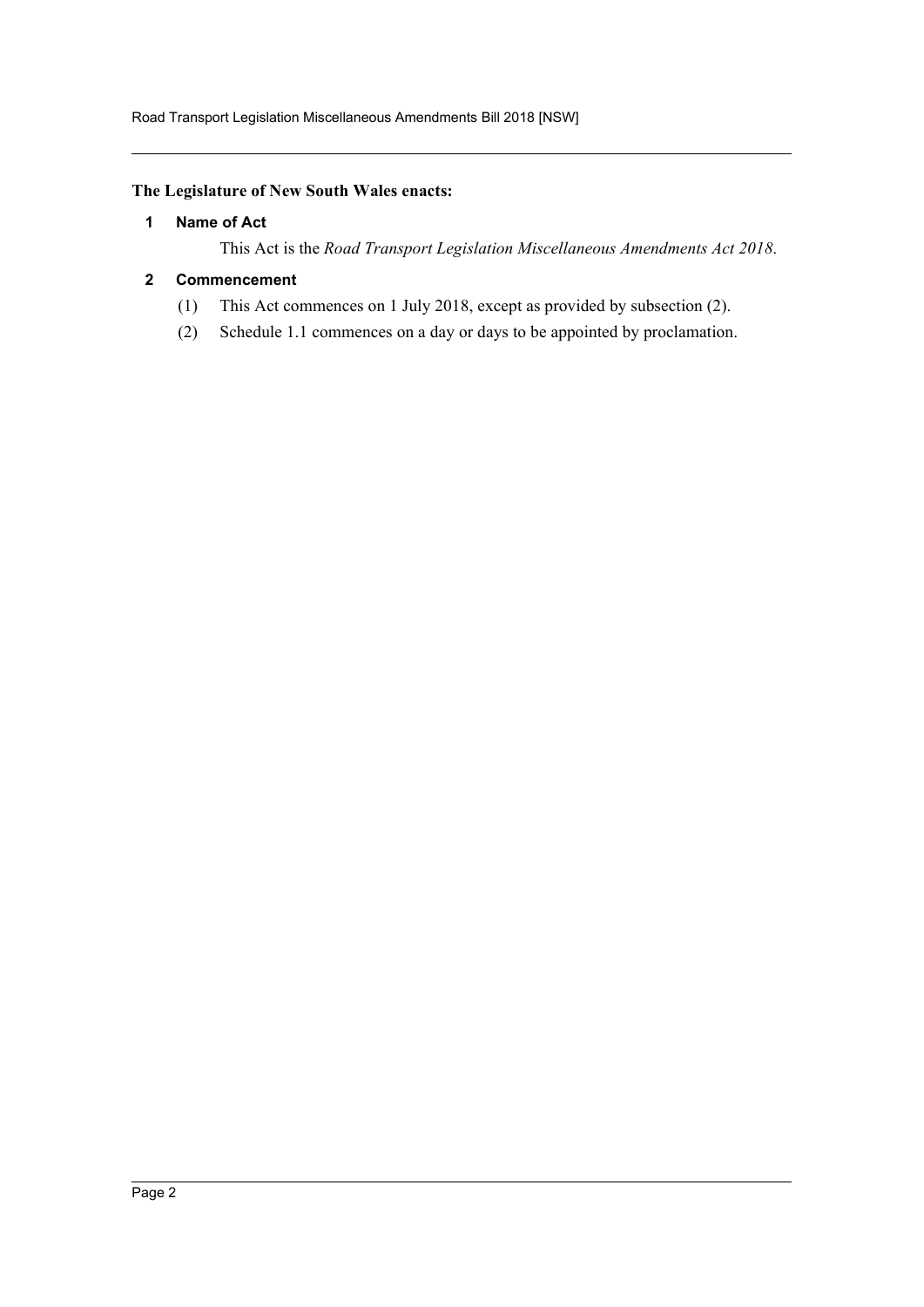## <span id="page-2-0"></span>**The Legislature of New South Wales enacts:**

### **1 Name of Act**

This Act is the *Road Transport Legislation Miscellaneous Amendments Act 2018*.

### <span id="page-2-1"></span>**2 Commencement**

- (1) This Act commences on 1 July 2018, except as provided by subsection (2).
- (2) Schedule 1.1 commences on a day or days to be appointed by proclamation.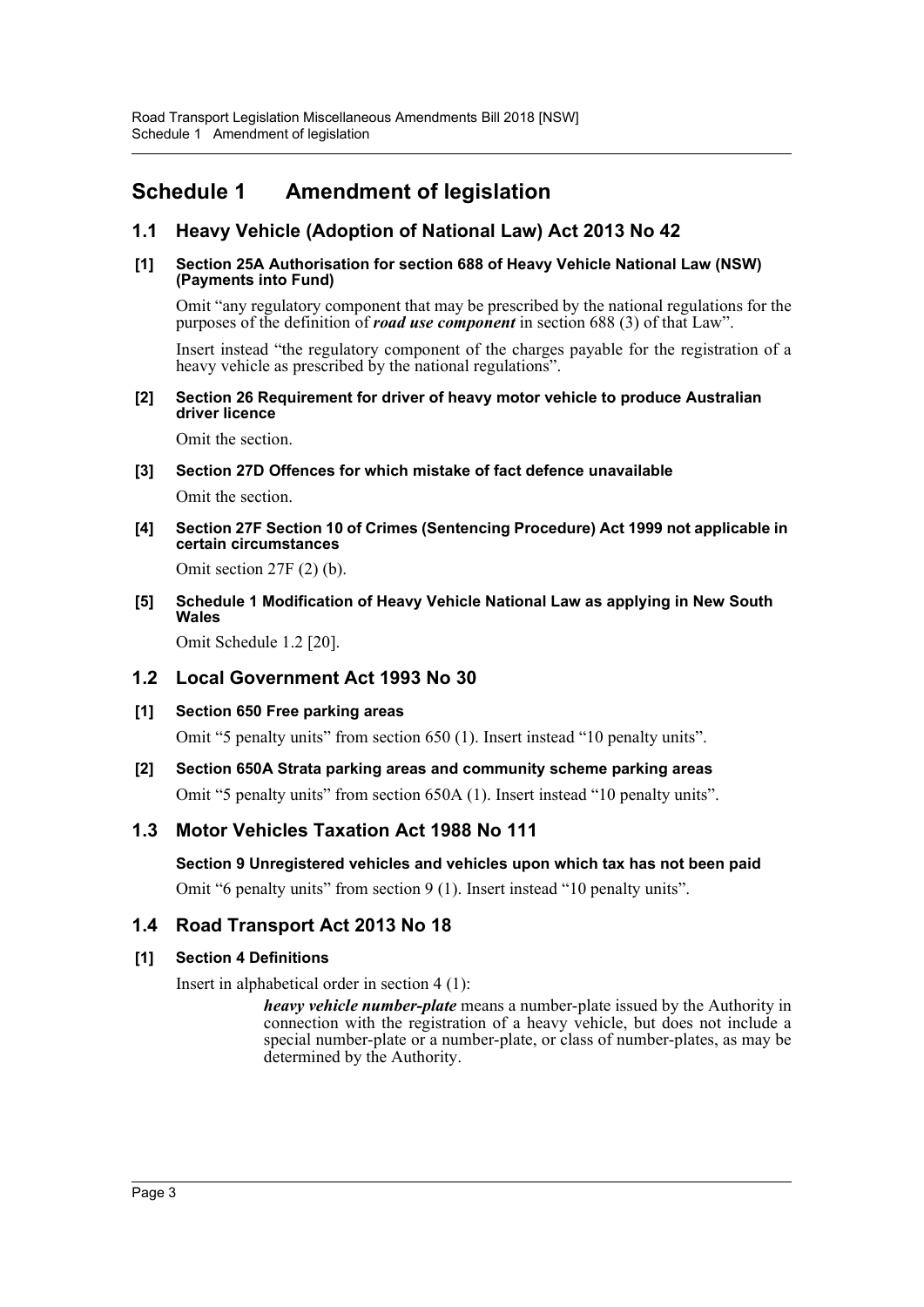## <span id="page-3-0"></span>**Schedule 1 Amendment of legislation**

## **1.1 Heavy Vehicle (Adoption of National Law) Act 2013 No 42**

#### **[1] Section 25A Authorisation for section 688 of Heavy Vehicle National Law (NSW) (Payments into Fund)**

Omit "any regulatory component that may be prescribed by the national regulations for the purposes of the definition of *road use component* in section 688 (3) of that Law".

Insert instead "the regulatory component of the charges payable for the registration of a heavy vehicle as prescribed by the national regulations".

#### **[2] Section 26 Requirement for driver of heavy motor vehicle to produce Australian driver licence**

Omit the section.

### **[3] Section 27D Offences for which mistake of fact defence unavailable**

Omit the section.

**[4] Section 27F Section 10 of Crimes (Sentencing Procedure) Act 1999 not applicable in certain circumstances**

Omit section 27F (2) (b).

**[5] Schedule 1 Modification of Heavy Vehicle National Law as applying in New South Wales**

Omit Schedule 1.2 [20].

## **1.2 Local Government Act 1993 No 30**

**[1] Section 650 Free parking areas**

Omit "5 penalty units" from section 650 (1). Insert instead "10 penalty units".

**[2] Section 650A Strata parking areas and community scheme parking areas**

Omit "5 penalty units" from section 650A (1). Insert instead "10 penalty units".

## **1.3 Motor Vehicles Taxation Act 1988 No 111**

**Section 9 Unregistered vehicles and vehicles upon which tax has not been paid**

Omit "6 penalty units" from section 9 (1). Insert instead "10 penalty units".

## **1.4 Road Transport Act 2013 No 18**

#### **[1] Section 4 Definitions**

Insert in alphabetical order in section 4 (1):

*heavy vehicle number-plate* means a number-plate issued by the Authority in connection with the registration of a heavy vehicle, but does not include a special number-plate or a number-plate, or class of number-plates, as may be determined by the Authority.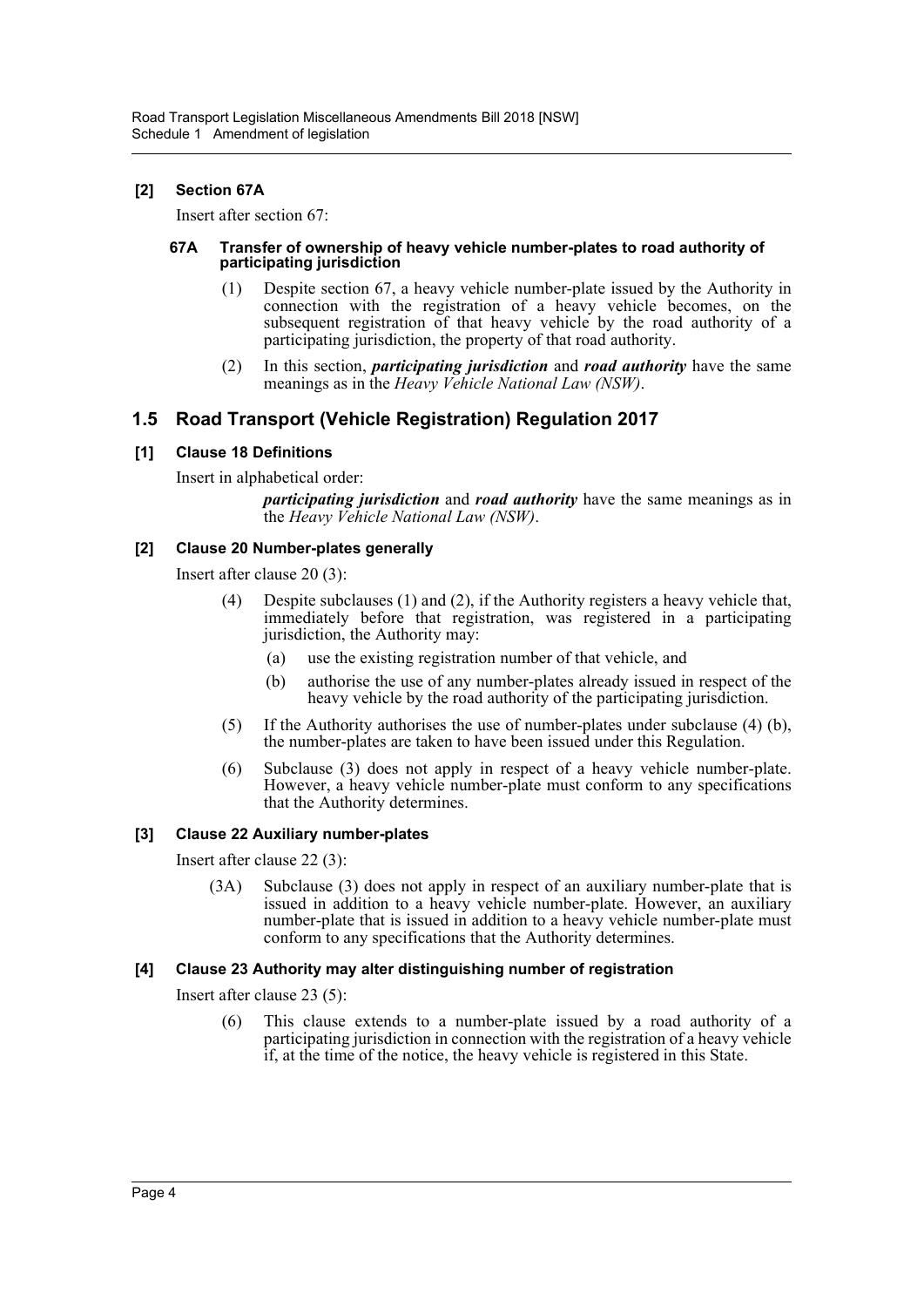## **[2] Section 67A**

Insert after section 67:

#### **67A Transfer of ownership of heavy vehicle number-plates to road authority of participating jurisdiction**

- (1) Despite section 67, a heavy vehicle number-plate issued by the Authority in connection with the registration of a heavy vehicle becomes, on the subsequent registration of that heavy vehicle by the road authority of a participating jurisdiction, the property of that road authority.
- (2) In this section, *participating jurisdiction* and *road authority* have the same meanings as in the *Heavy Vehicle National Law (NSW)*.

## **1.5 Road Transport (Vehicle Registration) Regulation 2017**

### **[1] Clause 18 Definitions**

Insert in alphabetical order:

*participating jurisdiction* and *road authority* have the same meanings as in the *Heavy Vehicle National Law (NSW)*.

### **[2] Clause 20 Number-plates generally**

Insert after clause 20 (3):

- (4) Despite subclauses (1) and (2), if the Authority registers a heavy vehicle that, immediately before that registration, was registered in a participating jurisdiction, the Authority may:
	- (a) use the existing registration number of that vehicle, and
	- (b) authorise the use of any number-plates already issued in respect of the heavy vehicle by the road authority of the participating jurisdiction.
- (5) If the Authority authorises the use of number-plates under subclause (4) (b), the number-plates are taken to have been issued under this Regulation.
- (6) Subclause (3) does not apply in respect of a heavy vehicle number-plate. However, a heavy vehicle number-plate must conform to any specifications that the Authority determines.

## **[3] Clause 22 Auxiliary number-plates**

Insert after clause 22 (3):

(3A) Subclause (3) does not apply in respect of an auxiliary number-plate that is issued in addition to a heavy vehicle number-plate. However, an auxiliary number-plate that is issued in addition to a heavy vehicle number-plate must conform to any specifications that the Authority determines.

## **[4] Clause 23 Authority may alter distinguishing number of registration**

Insert after clause 23 (5):

(6) This clause extends to a number-plate issued by a road authority of a participating jurisdiction in connection with the registration of a heavy vehicle if, at the time of the notice, the heavy vehicle is registered in this State.